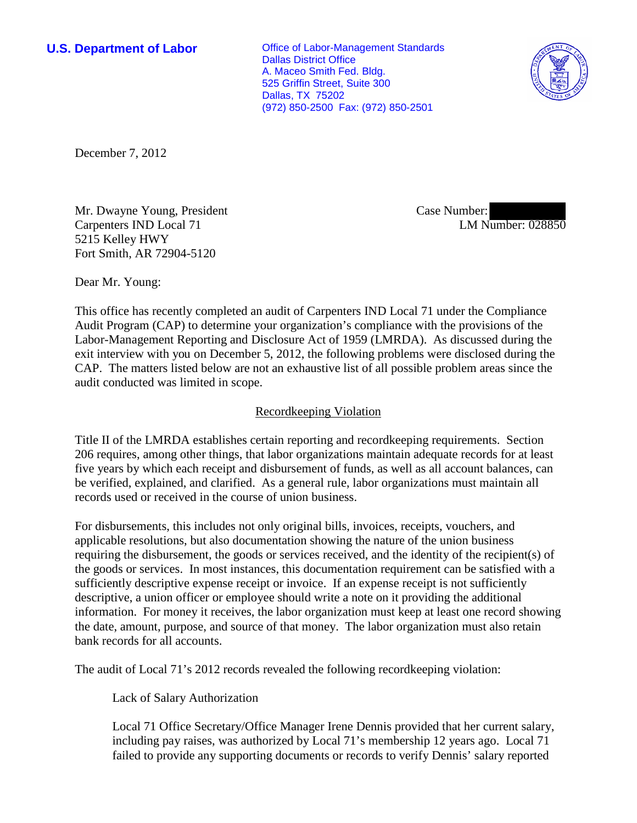**U.S. Department of Labor Office of Labor-Management Standards** Dallas District Office A. Maceo Smith Fed. Bldg. 525 Griffin Street, Suite 300 Dallas, TX 75202 (972) 850-2500 Fax: (972) 850-2501



December 7, 2012

Mr. Dwayne Young, President Carpenters IND Local 71 5215 Kelley HWY Fort Smith, AR 72904-5120

Case Number: LM Number: 028850

Dear Mr. Young:

This office has recently completed an audit of Carpenters IND Local 71 under the Compliance Audit Program (CAP) to determine your organization's compliance with the provisions of the Labor-Management Reporting and Disclosure Act of 1959 (LMRDA). As discussed during the exit interview with you on December 5, 2012, the following problems were disclosed during the CAP. The matters listed below are not an exhaustive list of all possible problem areas since the audit conducted was limited in scope.

## Recordkeeping Violation

Title II of the LMRDA establishes certain reporting and recordkeeping requirements. Section 206 requires, among other things, that labor organizations maintain adequate records for at least five years by which each receipt and disbursement of funds, as well as all account balances, can be verified, explained, and clarified. As a general rule, labor organizations must maintain all records used or received in the course of union business.

For disbursements, this includes not only original bills, invoices, receipts, vouchers, and applicable resolutions, but also documentation showing the nature of the union business requiring the disbursement, the goods or services received, and the identity of the recipient(s) of the goods or services. In most instances, this documentation requirement can be satisfied with a sufficiently descriptive expense receipt or invoice. If an expense receipt is not sufficiently descriptive, a union officer or employee should write a note on it providing the additional information. For money it receives, the labor organization must keep at least one record showing the date, amount, purpose, and source of that money. The labor organization must also retain bank records for all accounts.

The audit of Local 71's 2012 records revealed the following recordkeeping violation:

Lack of Salary Authorization

Local 71 Office Secretary/Office Manager Irene Dennis provided that her current salary, including pay raises, was authorized by Local 71's membership 12 years ago. Local 71 failed to provide any supporting documents or records to verify Dennis' salary reported